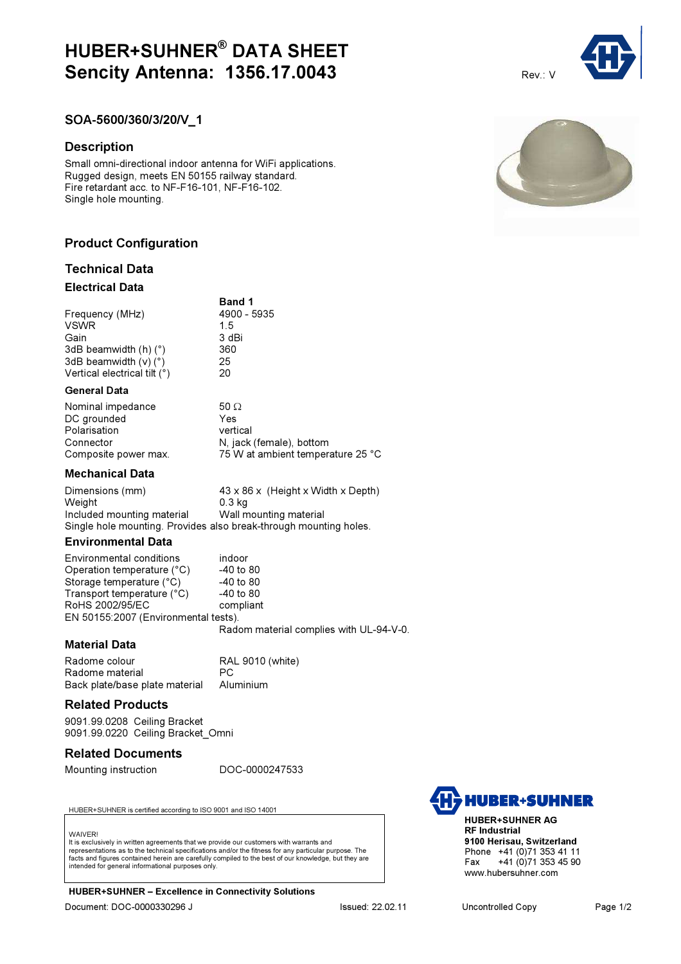# HUBER+SUHNER® DATA SHEET **Sencity Antenna: 1356.17.0043** Rev.: V



# SOA-5600/360/3/20/V\_1

### **Description**

Small omni-directional indoor antenna for WiFi applications. Rugged design, meets EN 50155 railway standard. Fire retardant acc. to NF-F16-101, NF-F16-102. Single hole mounting.

# Product Configuration

## Technical Data

#### Electrical Data

|                              | wanu i      |
|------------------------------|-------------|
| Frequency (MHz)              | 4900 - 5935 |
| <b>VSWR</b>                  | 15          |
| Gain                         | 3 dBi       |
| 3dB beamwidth (h) (°)        | 360         |
| 3dB beamwidth $(v)$ ( $°$ )  | 25          |
| Vertical electrical tilt (°) | 20          |
|                              |             |

#### General Data

| $50\Omega$                        |
|-----------------------------------|
| Yes                               |
| vertical                          |
| N, jack (female), bottom          |
| 75 W at ambient temperature 25 °C |
|                                   |

Band 1

#### Mechanical Data

Dimensions (mm) 43 x 86 x (Height x Width x Depth) Weight 0.3 kg Included mounting material Wall mounting material Single hole mounting. Provides also break-through mounting holes.

#### Environmental Data

Environmental conditions indoor<br>Operation temperature (°C) -40 to 80 Operation temperature (°C) -40 to 80<br>Storage temperature (°C) -40 to 80 Storage temperature  $(^{\circ}C)$  -40 to 80<br>Transport temperature  $(^{\circ}C)$  -40 to 80 Transport temperature (°C) RoHS 2002/95/EC compliant EN 50155:2007 (Environmental tests). Radom material complies with UL-94-V-0.

#### Material Data

| Radome colour                  | RAL 9010 (white) |
|--------------------------------|------------------|
| Radome material                | PC.              |
| Back plate/base plate material | Aluminium        |

# Related Products

9091.99.0208 Ceiling Bracket 9091.99.0220 Ceiling Bracket\_Omni

## Related Documents

Mounting instruction DOC-0000247533

HUBER+SUHNER is certified according to ISO 9001 and ISO 14001

#### **WAIVER!**

It is exclusively in written agreements that we provide our customers with warrants and representations as to the technical specifications and/or the fitness for any particular purpose. The facts and figures contained herein are carefully compiled to the best of our knowledge, but they are intended for general informational purposes only.

HUBER+SUHNER – Excellence in Connectivity Solutions Document: DOC-0000330296 J Issued: 22.02.11 Uncontrolled Copy Page 1/2



HUBER+SUHNER AG RF Industrial 9100 Herisau, Switzerland Phone +41 (0)71 353 41 11<br>Fax +41 (0)71 353 45 90 +41 (0)71 353 45 90 www.hubersuhner.com